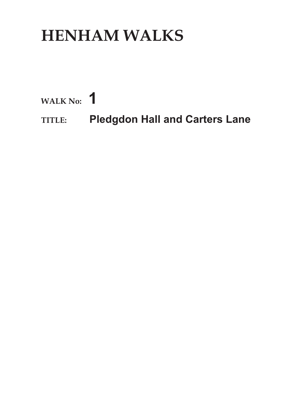## **HENHAM WALKS**

**WALK No: 1**

**TITLE: Pledgdon Hall and Carters Lane**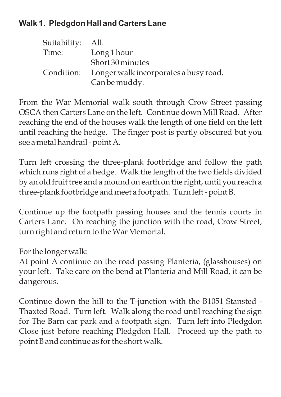## **Walk 1. Pledgdon Hall and Carters Lane**

| Suitability: All. |                                                  |
|-------------------|--------------------------------------------------|
| Time:             | Long 1 hour                                      |
|                   | Short 30 minutes                                 |
|                   | Condition: Longer walk incorporates a busy road. |
|                   | Can be muddy.                                    |

From the War Memorial walk south through Crow Street passing OSCA then Carters Lane on the left. Continue down Mill Road. After reaching the end of the houses walk the length of one field on the left until reaching the hedge. The finger post is partly obscured but you see a metal handrail - point A.

Turn left crossing the three-plank footbridge and follow the path which runs right of a hedge. Walk the length of the two fields divided by an old fruit tree and a mound on earth on the right, until you reach a three-plank footbridge and meet a footpath. Turn left - point B.

Continue up the footpath passing houses and the tennis courts in Carters Lane. On reaching the junction with the road, Crow Street, turn right and return to the War Memorial.

For the longer walk:

At point A continue on the road passing Planteria, (glasshouses) on your left. Take care on the bend at Planteria and Mill Road, it can be dangerous.

Continue down the hill to the T-junction with the B1051 Stansted - Thaxted Road. Turn left. Walk along the road until reaching the sign for The Barn car park and a footpath sign. Turn left into Pledgdon Close just before reaching Pledgdon Hall. Proceed up the path to point B and continue as for the short walk.